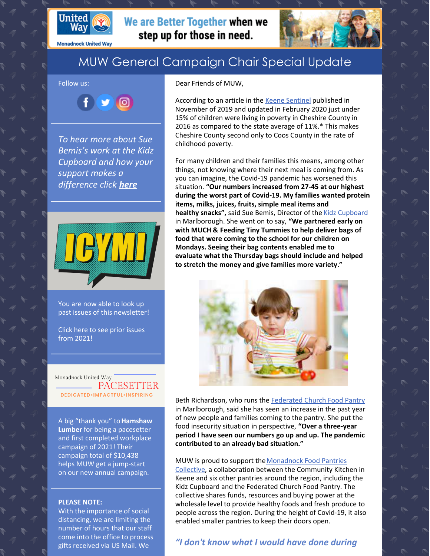

**Monadnock United Way** 

# MUW General Campaign Chair Special Update

#### Follow us:



*To hear more about Sue Bemis's work at the Kidz Cupboard and how your support makes a difference click [here](https://youtu.be/m5Iux4rmG-o)*



You are now able to look up past issues of this newsletter!

Click [here](https://www.muw.org/2021-newsletters) to see prior issues from 2021!

Monadnock United Way **EXAMPACESETTER** DEDICATED.IMPACTFUL.INSPIRING

A big "thank you" to**Hamshaw Lumber** for being a pacesetter and first completed workplace campaign of 2021! Their campaign total of \$10,438 helps MUW get a jump-start on our new annual campaign.

#### **PLEASE NOTE:**

With the importance of social distancing, we are limiting the number of hours that our staff come into the office to process gifts received via US Mail. We

#### Dear Friends of MUW,

We are Better Together when we

step up for those in need.

According to an article in the Keene [Sentinel](https://www.sentinelsource.com/news/local/life-below-the-line-for-children-especially-living-in-poverty-brings-stress-uncertainty/article_c082bddc-edf6-5990-ba73-9edb82561938.html) published in November of 2019 and updated in February 2020 just under 15% of children were living in poverty in Cheshire County in 2016 as compared to the state average of 11%.\* This makes Cheshire County second only to Coos County in the rate of childhood poverty.

For many children and their families this means, among other things, not knowing where their next meal is coming from. As you can imagine, the Covid-19 pandemic has worsened this situation. **"Our numbers increased from 27-45 at our highest during the worst part of Covid-19. My families wanted protein items, milks, juices, fruits, simple meal items and healthy snacks",** said Sue Bemis, Director of the Kidz [Cupboard](https://federatedchurchmarlborough.org/) in Marlborough. She went on to say, **"We partnered early on with MUCH & Feeding Tiny Tummies to help deliver bags of food that were coming to the school for our children on Mondays. Seeing their bag contents enabled me to evaluate what the Thursday bags should include and helped to stretch the money and give families more variety."**



Beth Richardson, who runs the [Federated](https://federatedchurchmarlborough.org/) Church Food Pantry in Marlborough, said she has seen an increase in the past year of new people and families coming to the pantry. She put the food insecurity situation in perspective, **"Over a three-year period I have seen our numbers go up and up. The pandemic contributed to an already bad situation."**

#### MUW is proud to support the Monadnock Food Pantries

Collective, a collaboration between the Community Kitchen in Keene and six other pantries around the region, including the Kidz Cupboard and the Federated Church Food Pantry. The collective shares funds, resources and buying power at the wholesale level to provide healthy foods and fresh produce to people across the region. During the height of Covid-19, it also enabled smaller pantries to keep their doors open.

### *"I don't know what I would have done during*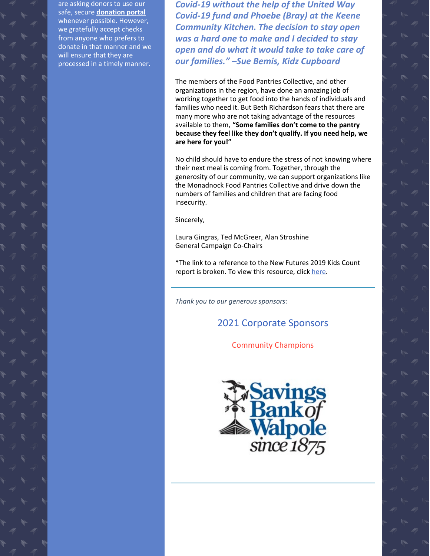are asking donors to use our safe, secure **[donation](https://app.mobilecause.com/f/2vgz/n?reset=1&%253Bid=1&vid=cdoig) portal** whenever possible. However, we gratefully accept checks from anyone who prefers to donate in that manner and we will ensure that they are processed in a timely manner.

*Covid-19 without the help of the United Way Covid-19 fund and Phoebe (Bray) at the Keene Community Kitchen. The decision to stay open was a hard one to make and I decided to stay open and do what it would take to take care of our families." –Sue Bemis, Kidz Cupboard*

The members of the Food Pantries Collective, and other organizations in the region, have done an amazing job of working together to get food into the hands of individuals and families who need it. But Beth Richardson fears that there are many more who are not taking advantage of the resources available to them, **"Some families don't come to the pantry because they feel like they don't qualify. If you need help, we are here for you!"**

No child should have to endure the stress of not knowing where their next meal is coming from. Together, through the generosity of our community, we can support organizations like the Monadnock Food Pantries Collective and drive down the numbers of families and children that are facing food insecurity.

Sincerely,

Laura Gingras, Ted McGreer, Alan Stroshine General Campaign Co-Chairs

\*The link to a reference to the New Futures 2019 Kids Count report is broken. To view this resource, click [here](https://new-futures.org/sites/default/files/resources/attachments/Cheshire County Data_Kids Count PDF Final_0.pdf).

*Thank you to our generous sponsors:*

## 2021 Corporate Sponsors

Community Champions